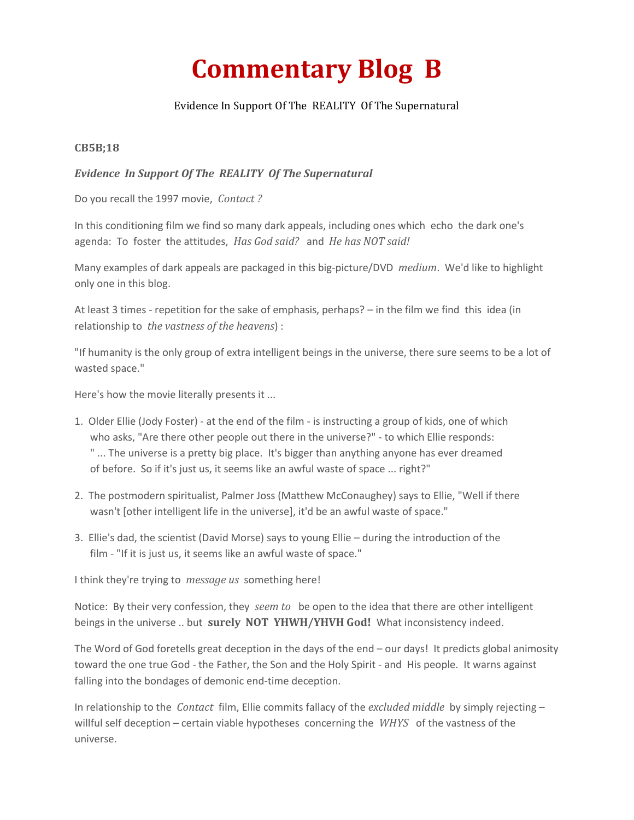## **Commentary Blog B**

## Evidence In Support Of The REALITY Of The Supernatural

## **CB5B;18**

## *Evidence In Support Of The REALITY Of The Supernatural*

Do you recall the 1997 movie, *Contact ?*

In this conditioning film we find so many dark appeals, including ones which echo the dark one's agenda: To foster the attitudes, *Has God said?* and *He has NOT said!*

Many examples of dark appeals are packaged in this big-picture/DVD *medium*. We'd like to highlight only one in this blog.

At least 3 times - repetition for the sake of emphasis, perhaps? – in the film we find this idea (in relationship to *the vastness of the heavens*) :

"If humanity is the only group of extra intelligent beings in the universe, there sure seems to be a lot of wasted space."

Here's how the movie literally presents it ...

- 1. Older Ellie (Jody Foster) at the end of the film is instructing a group of kids, one of which who asks, "Are there other people out there in the universe?" - to which Ellie responds: " ... The universe is a pretty big place. It's bigger than anything anyone has ever dreamed of before. So if it's just us, it seems like an awful waste of space ... right?"
- 2. The postmodern spiritualist, Palmer Joss (Matthew McConaughey) says to Ellie, "Well if there wasn't [other intelligent life in the universe], it'd be an awful waste of space."
- 3. Ellie's dad, the scientist (David Morse) says to young Ellie during the introduction of the film - "If it is just us, it seems like an awful waste of space."

I think they're trying to *message us* something here!

Notice: By their very confession, they *seem to* be open to the idea that there are other intelligent beings in the universe .. but **surely NOT YHWH/YHVH God!** What inconsistency indeed.

The Word of God foretells great deception in the days of the end – our days! It predicts global animosity toward the one true God - the Father, the Son and the Holy Spirit - and His people. It warns against falling into the bondages of demonic end-time deception.

In relationship to the *Contact* film, Ellie commits fallacy of the *excluded middle* by simply rejecting – willful self deception – certain viable hypotheses concerning the *WHYS* of the vastness of the universe.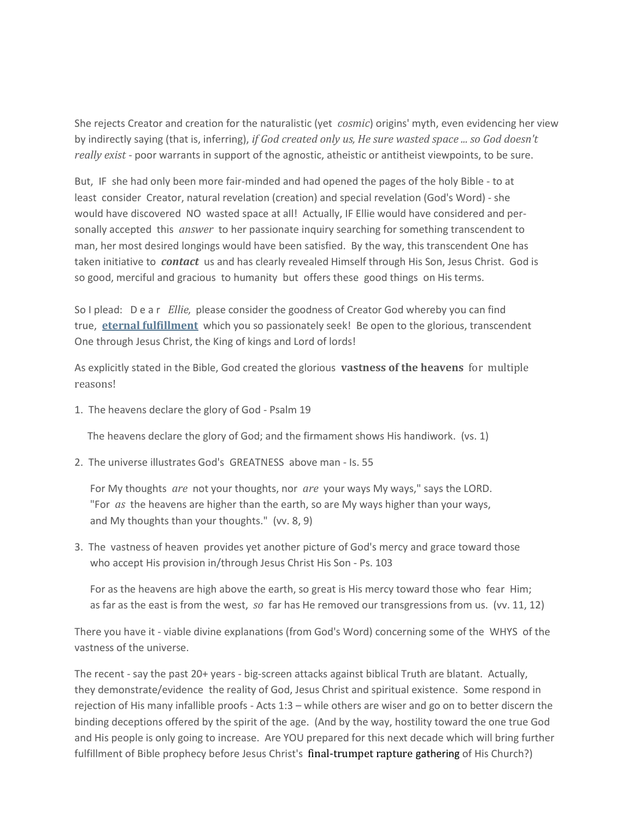She rejects Creator and creation for the naturalistic (yet *cosmic*) origins' myth, even evidencing her view by indirectly saying (that is, inferring), *if God created only us, He sure wasted space ... so God doesn't really exist* - poor warrants in support of the agnostic, atheistic or antitheist viewpoints, to be sure.

But, IF she had only been more fair-minded and had opened the pages of the holy Bible - to at least consider Creator, natural revelation (creation) and special revelation (God's Word) - she would have discovered NO wasted space at all! Actually, IF Ellie would have considered and personally accepted this *answer* to her passionate inquiry searching for something transcendent to man, her most desired longings would have been satisfied. By the way, this transcendent One has taken initiative to *contact* us and has clearly revealed Himself through His Son, Jesus Christ. God is so good, merciful and gracious to humanity but offers these good things on His terms.

So I plead: D e a r *Ellie,* please consider the goodness of Creator God whereby you can find true, **[eternal fulfillment](https://enduranceministries.online/gospel)** which you so passionately seek! Be open to the glorious, transcendent One through Jesus Christ, the King of kings and Lord of lords!

As explicitly stated in the Bible, God created the glorious **vastness of the heavens** for multiple reasons!

1. The heavens declare the glory of God - Psalm 19

The heavens declare the glory of God; and the firmament shows His handiwork. (vs. 1)

2. The universe illustrates God's GREATNESS above man - Is. 55

For My thoughts *are* not your thoughts, nor *are* your ways My ways," says the LORD. "For *as* the heavens are higher than the earth, so are My ways higher than your ways, and My thoughts than your thoughts." (vv. 8, 9)

3. The vastness of heaven provides yet another picture of God's mercy and grace toward those who accept His provision in/through Jesus Christ His Son - Ps. 103

For as the heavens are high above the earth, so great is His mercy toward those who fear Him; as far as the east is from the west, *so* far has He removed our transgressions from us. (vv. 11, 12)

There you have it - viable divine explanations (from God's Word) concerning some of the WHYS of the vastness of the universe.

The recent - say the past 20+ years - big-screen attacks against biblical Truth are blatant. Actually, they demonstrate/evidence the reality of God, Jesus Christ and spiritual existence. Some respond in rejection of His many infallible proofs - Acts 1:3 – while others are wiser and go on to better discern the binding deceptions offered by the spirit of the age. (And by the way, hostility toward the one true God and His people is only going to increase. Are YOU prepared for this next decade which will bring further fulfillment of Bible prophecy before Jesus Christ's final-trumpet rapture gathering of His Church?)